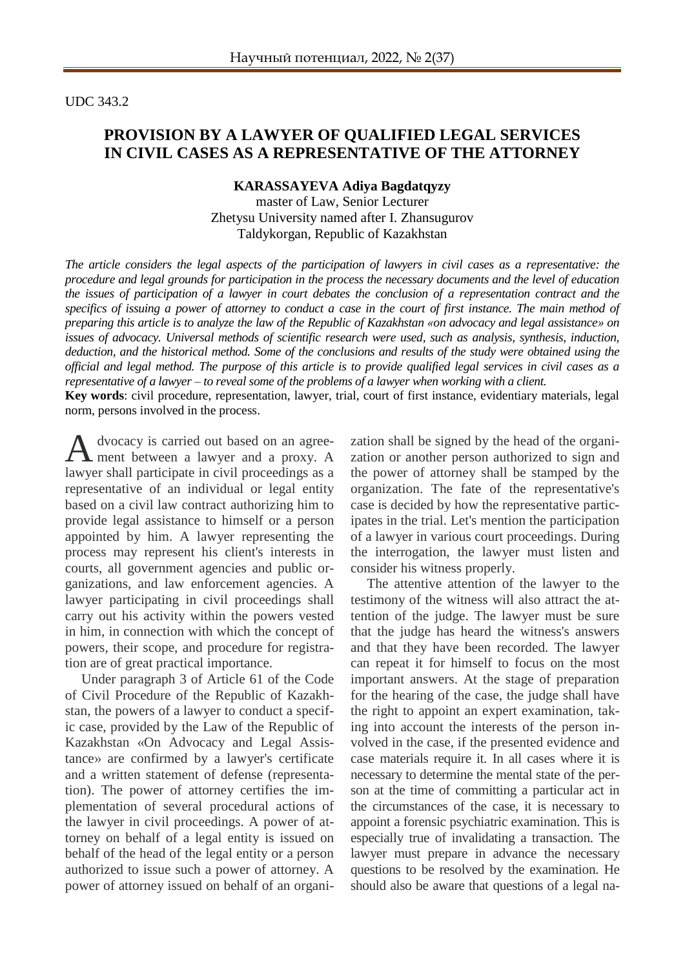UDC 343.2

## **PROVISION BY A LAWYER OF QUALIFIED LEGAL SERVICES IN CIVIL CASES AS A REPRESENTATIVE OF THE ATTORNEY**

#### **KARASSAYEVA Adiya Bagdatqyzy**

master of Law, Senior Lecturer Zhetysu University named after I. Zhansugurov Taldykorgan, Republic of Kazakhstan

*The article considers the legal aspects of the participation of lawyers in civil cases as a representative: the procedure and legal grounds for participation in the process the necessary documents and the level of education the issues of participation of a lawyer in court debates the conclusion of a representation contract and the specifics of issuing a power of attorney to conduct a case in the court of first instance. The main method of preparing this article is to analyze the law of the Republic of Kazakhstan «on advocacy and legal assistance» on issues of advocacy. Universal methods of scientific research were used, such as analysis, synthesis, induction, deduction, and the historical method. Some of the conclusions and results of the study were obtained using the official and legal method. The purpose of this article is to provide qualified legal services in civil cases as a representative of a lawyer – to reveal some of the problems of a lawyer when working with a client.*

**Key words**: civil procedure, representation, lawyer, trial, court of first instance, evidentiary materials, legal norm, persons involved in the process.

dvocacy is carried out based on an agreement between a lawyer and a proxy. A lawyer shall participate in civil proceedings as a representative of an individual or legal entity based on a civil law contract authorizing him to provide legal assistance to himself or a person appointed by him. A lawyer representing the process may represent his client's interests in courts, all government agencies and public organizations, and law enforcement agencies. A lawyer participating in civil proceedings shall carry out his activity within the powers vested in him, in connection with which the concept of powers, their scope, and procedure for registration are of great practical importance. A

Under paragraph 3 of Article 61 of the Code of Civil Procedure of the Republic of Kazakhstan, the powers of a lawyer to conduct a specific case, provided by the Law of the Republic of Kazakhstan «On Advocacy and Legal Assistance» are confirmed by a lawyer's certificate and a written statement of defense (representation). The power of attorney certifies the implementation of several procedural actions of the lawyer in civil proceedings. A power of attorney on behalf of a legal entity is issued on behalf of the head of the legal entity or a person authorized to issue such a power of attorney. A power of attorney issued on behalf of an organi-

zation shall be signed by the head of the organization or another person authorized to sign and the power of attorney shall be stamped by the organization. The fate of the representative's case is decided by how the representative participates in the trial. Let's mention the participation of a lawyer in various court proceedings. During the interrogation, the lawyer must listen and consider his witness properly.

The attentive attention of the lawyer to the testimony of the witness will also attract the attention of the judge. The lawyer must be sure that the judge has heard the witness's answers and that they have been recorded. The lawyer can repeat it for himself to focus on the most important answers. At the stage of preparation for the hearing of the case, the judge shall have the right to appoint an expert examination, taking into account the interests of the person involved in the case, if the presented evidence and case materials require it. In all cases where it is necessary to determine the mental state of the person at the time of committing a particular act in the circumstances of the case, it is necessary to appoint a forensic psychiatric examination. This is especially true of invalidating a transaction. The lawyer must prepare in advance the necessary questions to be resolved by the examination. He should also be aware that questions of a legal na-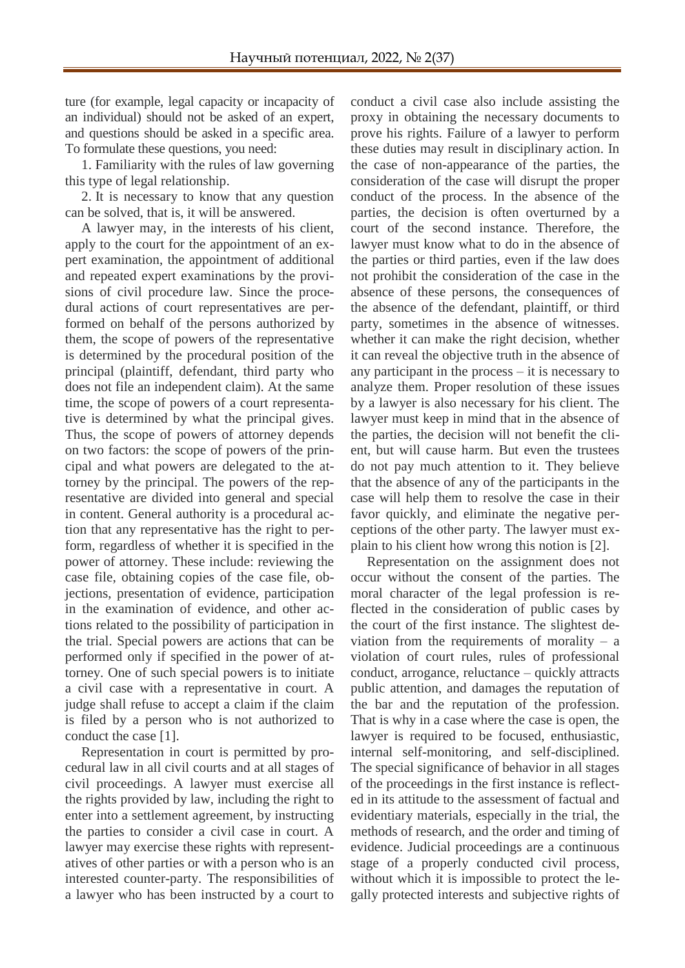ture (for example, legal capacity or incapacity of an individual) should not be asked of an expert, and questions should be asked in a specific area. To formulate these questions, you need:

1. Familiarity with the rules of law governing this type of legal relationship.

2. It is necessary to know that any question can be solved, that is, it will be answered.

A lawyer may, in the interests of his client, apply to the court for the appointment of an expert examination, the appointment of additional and repeated expert examinations by the provisions of civil procedure law. Since the procedural actions of court representatives are performed on behalf of the persons authorized by them, the scope of powers of the representative is determined by the procedural position of the principal (plaintiff, defendant, third party who does not file an independent claim). At the same time, the scope of powers of a court representative is determined by what the principal gives. Thus, the scope of powers of attorney depends on two factors: the scope of powers of the principal and what powers are delegated to the attorney by the principal. The powers of the representative are divided into general and special in content. General authority is a procedural action that any representative has the right to perform, regardless of whether it is specified in the power of attorney. These include: reviewing the case file, obtaining copies of the case file, objections, presentation of evidence, participation in the examination of evidence, and other actions related to the possibility of participation in the trial. Special powers are actions that can be performed only if specified in the power of attorney. One of such special powers is to initiate a civil case with a representative in court. A judge shall refuse to accept a claim if the claim is filed by a person who is not authorized to conduct the case [1].

Representation in court is permitted by procedural law in all civil courts and at all stages of civil proceedings. A lawyer must exercise all the rights provided by law, including the right to enter into a settlement agreement, by instructing the parties to consider a civil case in court. A lawyer may exercise these rights with representatives of other parties or with a person who is an interested counter-party. The responsibilities of a lawyer who has been instructed by a court to

conduct a civil case also include assisting the proxy in obtaining the necessary documents to prove his rights. Failure of a lawyer to perform these duties may result in disciplinary action. In the case of non-appearance of the parties, the consideration of the case will disrupt the proper conduct of the process. In the absence of the parties, the decision is often overturned by a court of the second instance. Therefore, the lawyer must know what to do in the absence of the parties or third parties, even if the law does not prohibit the consideration of the case in the absence of these persons, the consequences of the absence of the defendant, plaintiff, or third party, sometimes in the absence of witnesses. whether it can make the right decision, whether it can reveal the objective truth in the absence of any participant in the process – it is necessary to analyze them. Proper resolution of these issues by a lawyer is also necessary for his client. The lawyer must keep in mind that in the absence of the parties, the decision will not benefit the client, but will cause harm. But even the trustees do not pay much attention to it. They believe that the absence of any of the participants in the case will help them to resolve the case in their favor quickly, and eliminate the negative perceptions of the other party. The lawyer must explain to his client how wrong this notion is [2].

Representation on the assignment does not occur without the consent of the parties. The moral character of the legal profession is reflected in the consideration of public cases by the court of the first instance. The slightest deviation from the requirements of morality  $-$  a violation of court rules, rules of professional conduct, arrogance, reluctance – quickly attracts public attention, and damages the reputation of the bar and the reputation of the profession. That is why in a case where the case is open, the lawyer is required to be focused, enthusiastic, internal self-monitoring, and self-disciplined. The special significance of behavior in all stages of the proceedings in the first instance is reflected in its attitude to the assessment of factual and evidentiary materials, especially in the trial, the methods of research, and the order and timing of evidence. Judicial proceedings are a continuous stage of a properly conducted civil process, without which it is impossible to protect the legally protected interests and subjective rights of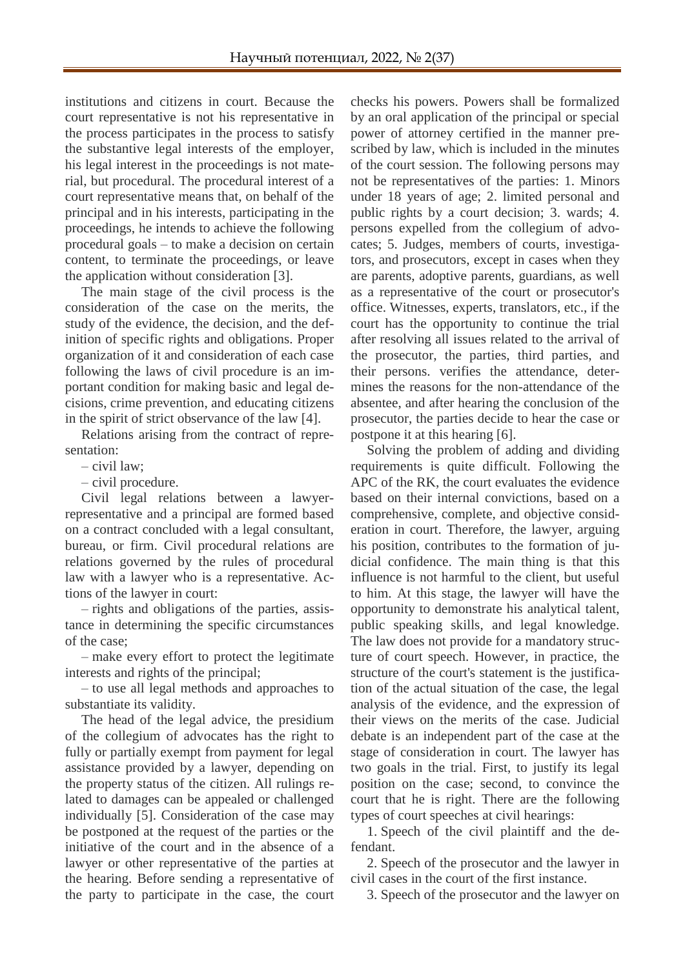institutions and citizens in court. Because the court representative is not his representative in the process participates in the process to satisfy the substantive legal interests of the employer, his legal interest in the proceedings is not material, but procedural. The procedural interest of a court representative means that, on behalf of the principal and in his interests, participating in the proceedings, he intends to achieve the following procedural goals – to make a decision on certain content, to terminate the proceedings, or leave the application without consideration [3].

The main stage of the civil process is the consideration of the case on the merits, the study of the evidence, the decision, and the definition of specific rights and obligations. Proper organization of it and consideration of each case following the laws of civil procedure is an important condition for making basic and legal decisions, crime prevention, and educating citizens in the spirit of strict observance of the law [4].

Relations arising from the contract of representation:

– civil law;

– civil procedure.

Civil legal relations between a lawyerrepresentative and a principal are formed based on a contract concluded with a legal consultant, bureau, or firm. Civil procedural relations are relations governed by the rules of procedural law with a lawyer who is a representative. Actions of the lawyer in court:

– rights and obligations of the parties, assistance in determining the specific circumstances of the case;

– make every effort to protect the legitimate interests and rights of the principal;

– to use all legal methods and approaches to substantiate its validity.

The head of the legal advice, the presidium of the collegium of advocates has the right to fully or partially exempt from payment for legal assistance provided by a lawyer, depending on the property status of the citizen. All rulings related to damages can be appealed or challenged individually [5]. Consideration of the case may be postponed at the request of the parties or the initiative of the court and in the absence of a lawyer or other representative of the parties at the hearing. Before sending a representative of the party to participate in the case, the court checks his powers. Powers shall be formalized by an oral application of the principal or special power of attorney certified in the manner prescribed by law, which is included in the minutes of the court session. The following persons may not be representatives of the parties: 1. Minors under 18 years of age; 2. limited personal and public rights by a court decision; 3. wards; 4. persons expelled from the collegium of advocates; 5. Judges, members of courts, investigators, and prosecutors, except in cases when they are parents, adoptive parents, guardians, as well as a representative of the court or prosecutor's office. Witnesses, experts, translators, etc., if the court has the opportunity to continue the trial after resolving all issues related to the arrival of the prosecutor, the parties, third parties, and their persons. verifies the attendance, determines the reasons for the non-attendance of the absentee, and after hearing the conclusion of the prosecutor, the parties decide to hear the case or postpone it at this hearing [6].

Solving the problem of adding and dividing requirements is quite difficult. Following the APC of the RK, the court evaluates the evidence based on their internal convictions, based on a comprehensive, complete, and objective consideration in court. Therefore, the lawyer, arguing his position, contributes to the formation of judicial confidence. The main thing is that this influence is not harmful to the client, but useful to him. At this stage, the lawyer will have the opportunity to demonstrate his analytical talent, public speaking skills, and legal knowledge. The law does not provide for a mandatory structure of court speech. However, in practice, the structure of the court's statement is the justification of the actual situation of the case, the legal analysis of the evidence, and the expression of their views on the merits of the case. Judicial debate is an independent part of the case at the stage of consideration in court. The lawyer has two goals in the trial. First, to justify its legal position on the case; second, to convince the court that he is right. There are the following types of court speeches at civil hearings:

1. Speech of the civil plaintiff and the defendant.

2. Speech of the prosecutor and the lawyer in civil cases in the court of the first instance.

3. Speech of the prosecutor and the lawyer on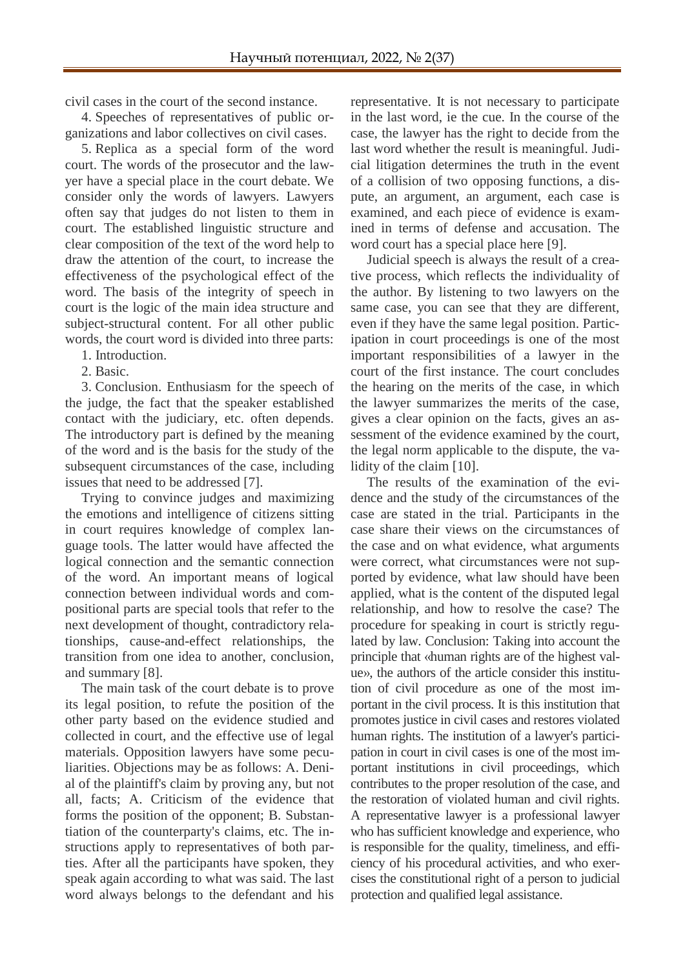civil cases in the court of the second instance.

4. Speeches of representatives of public organizations and labor collectives on civil cases.

5. Replica as a special form of the word court. The words of the prosecutor and the lawyer have a special place in the court debate. We consider only the words of lawyers. Lawyers often say that judges do not listen to them in court. The established linguistic structure and clear composition of the text of the word help to draw the attention of the court, to increase the effectiveness of the psychological effect of the word. The basis of the integrity of speech in court is the logic of the main idea structure and subject-structural content. For all other public words, the court word is divided into three parts:

1. Introduction.

2. Basic.

3. Conclusion. Enthusiasm for the speech of the judge, the fact that the speaker established contact with the judiciary, etc. often depends. The introductory part is defined by the meaning of the word and is the basis for the study of the subsequent circumstances of the case, including issues that need to be addressed [7].

Trying to convince judges and maximizing the emotions and intelligence of citizens sitting in court requires knowledge of complex language tools. The latter would have affected the logical connection and the semantic connection of the word. An important means of logical connection between individual words and compositional parts are special tools that refer to the next development of thought, contradictory relationships, cause-and-effect relationships, the transition from one idea to another, conclusion, and summary [8].

The main task of the court debate is to prove its legal position, to refute the position of the other party based on the evidence studied and collected in court, and the effective use of legal materials. Opposition lawyers have some peculiarities. Objections may be as follows: А. Denial of the plaintiff's claim by proving any, but not all, facts; A. Criticism of the evidence that forms the position of the opponent; B. Substantiation of the counterparty's claims, etc. The instructions apply to representatives of both parties. After all the participants have spoken, they speak again according to what was said. The last word always belongs to the defendant and his representative. It is not necessary to participate in the last word, ie the cue. In the course of the case, the lawyer has the right to decide from the last word whether the result is meaningful. Judicial litigation determines the truth in the event of a collision of two opposing functions, a dispute, an argument, an argument, each case is examined, and each piece of evidence is examined in terms of defense and accusation. The word court has a special place here [9].

Judicial speech is always the result of a creative process, which reflects the individuality of the author. By listening to two lawyers on the same case, you can see that they are different, even if they have the same legal position. Participation in court proceedings is one of the most important responsibilities of a lawyer in the court of the first instance. The court concludes the hearing on the merits of the case, in which the lawyer summarizes the merits of the case, gives a clear opinion on the facts, gives an assessment of the evidence examined by the court, the legal norm applicable to the dispute, the validity of the claim [10].

The results of the examination of the evidence and the study of the circumstances of the case are stated in the trial. Participants in the case share their views on the circumstances of the case and on what evidence, what arguments were correct, what circumstances were not supported by evidence, what law should have been applied, what is the content of the disputed legal relationship, and how to resolve the case? The procedure for speaking in court is strictly regulated by law. Conclusion: Taking into account the principle that «human rights are of the highest value», the authors of the article consider this institution of civil procedure as one of the most important in the civil process. It is this institution that promotes justice in civil cases and restores violated human rights. The institution of a lawyer's participation in court in civil cases is one of the most important institutions in civil proceedings, which contributes to the proper resolution of the case, and the restoration of violated human and civil rights. A representative lawyer is a professional lawyer who has sufficient knowledge and experience, who is responsible for the quality, timeliness, and efficiency of his procedural activities, and who exercises the constitutional right of a person to judicial protection and qualified legal assistance.